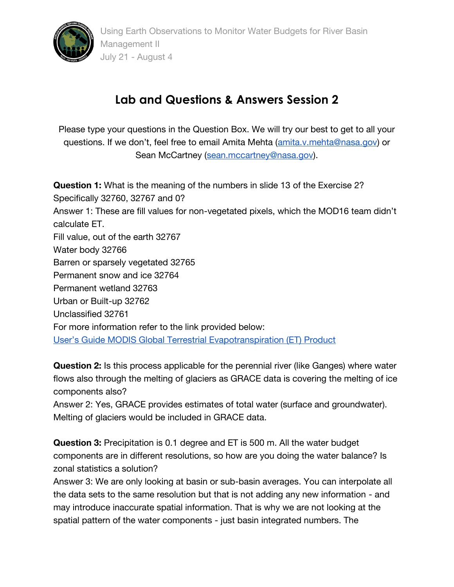

## **Lab and Questions & Answers Session 2**

Please type your questions in the Question Box. We will try our best to get to all your questions. If we don't, feel free to email Amita Mehta ([amita.v.mehta@nasa.gov\)](mailto:amita.v.mehta@nasa.gov) or Sean McCartney [\(sean.mccartney@nasa.gov\)](mailto:sean.mccartney@nasa.gov).

**Question 1:** What is the meaning of the numbers in slide 13 of the Exercise 2? Specifically 32760, 32767 and 0? Answer 1: These are fill values for non-vegetated pixels, which the MOD16 team didn't calculate ET. Fill value, out of the earth 32767 Water body 32766 Barren or sparsely vegetated 32765 Permanent snow and ice 32764 Permanent wetland 32763 Urban or Built-up 32762 Unclassified 32761 For more information refer to the link provided below: [User's Guide MODIS Global Terrestrial Evapotranspiration \(ET\) Product](https://ladsweb.modaps.eosdis.nasa.gov/missions-and-measurements/modis/MOD16_ET_User-Guide_2017.pdf)

**Question 2:** Is this process applicable for the perennial river (like Ganges) where water flows also through the melting of glaciers as GRACE data is covering the melting of ice components also?

Answer 2: Yes, GRACE provides estimates of total water (surface and groundwater). Melting of glaciers would be included in GRACE data.

**Question 3:** Precipitation is 0.1 degree and ET is 500 m. All the water budget components are in different resolutions, so how are you doing the water balance? Is zonal statistics a solution?

Answer 3: We are only looking at basin or sub-basin averages. You can interpolate all the data sets to the same resolution but that is not adding any new information - and may introduce inaccurate spatial information. That is why we are not looking at the spatial pattern of the water components - just basin integrated numbers. The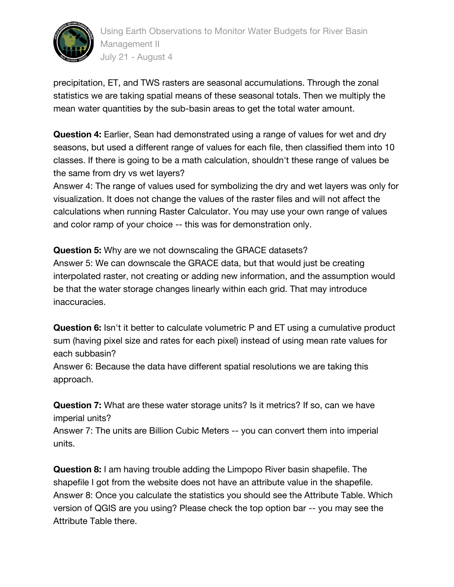

precipitation, ET, and TWS rasters are seasonal accumulations. Through the zonal statistics we are taking spatial means of these seasonal totals. Then we multiply the mean water quantities by the sub-basin areas to get the total water amount.

**Question 4:** Earlier, Sean had demonstrated using a range of values for wet and dry seasons, but used a different range of values for each file, then classified them into 10 classes. If there is going to be a math calculation, shouldn't these range of values be the same from dry vs wet layers?

Answer 4: The range of values used for symbolizing the dry and wet layers was only for visualization. It does not change the values of the raster files and will not affect the calculations when running Raster Calculator. You may use your own range of values and color ramp of your choice -- this was for demonstration only.

**Question 5:** Why are we not downscaling the GRACE datasets? Answer 5: We can downscale the GRACE data, but that would just be creating interpolated raster, not creating or adding new information, and the assumption would be that the water storage changes linearly within each grid. That may introduce inaccuracies.

**Question 6:** Isn't it better to calculate volumetric P and ET using a cumulative product sum (having pixel size and rates for each pixel) instead of using mean rate values for each subbasin?

Answer 6: Because the data have different spatial resolutions we are taking this approach.

**Question 7:** What are these water storage units? Is it metrics? If so, can we have imperial units?

Answer 7: The units are Billion Cubic Meters -- you can convert them into imperial units.

**Question 8:** I am having trouble adding the Limpopo River basin shapefile. The shapefile I got from the website does not have an attribute value in the shapefile. Answer 8: Once you calculate the statistics you should see the Attribute Table. Which version of QGIS are you using? Please check the top option bar -- you may see the Attribute Table there.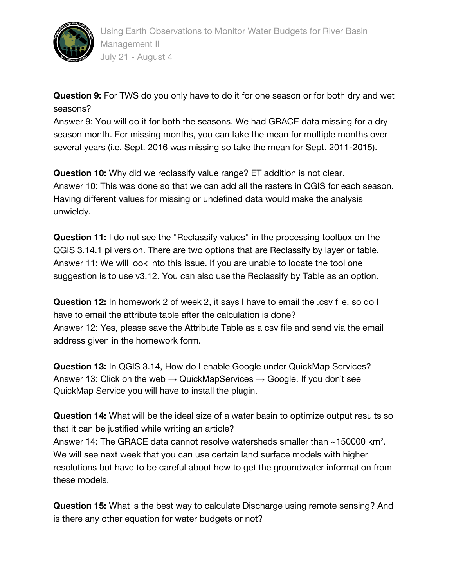

**Question 9:** For TWS do you only have to do it for one season or for both dry and wet seasons?

Answer 9: You will do it for both the seasons. We had GRACE data missing for a dry season month. For missing months, you can take the mean for multiple months over several years (i.e. Sept. 2016 was missing so take the mean for Sept. 2011-2015).

**Question 10:** Why did we reclassify value range? ET addition is not clear. Answer 10: This was done so that we can add all the rasters in QGIS for each season. Having different values for missing or undefined data would make the analysis unwieldy.

**Question 11:** I do not see the "Reclassify values" in the processing toolbox on the QGIS 3.14.1 pi version. There are two options that are Reclassify by layer or table. Answer 11: We will look into this issue. If you are unable to locate the tool one suggestion is to use v3.12. You can also use the Reclassify by Table as an option.

**Question 12:** In homework 2 of week 2, it says I have to email the .csv file, so do I have to email the attribute table after the calculation is done? Answer 12: Yes, please save the Attribute Table as a csv file and send via the email address given in the homework form.

**Question 13:** In QGIS 3.14, How do I enable Google under QuickMap Services? Answer 13: Click on the web  $\rightarrow$  QuickMapServices  $\rightarrow$  Google. If you don't see QuickMap Service you will have to install the plugin.

**Question 14:** What will be the ideal size of a water basin to optimize output results so that it can be justified while writing an article? Answer 14: The GRACE data cannot resolve watersheds smaller than  $\sim$ 150000 km<sup>2</sup>. We will see next week that you can use certain land surface models with higher resolutions but have to be careful about how to get the groundwater information from these models.

**Question 15:** What is the best way to calculate Discharge using remote sensing? And is there any other equation for water budgets or not?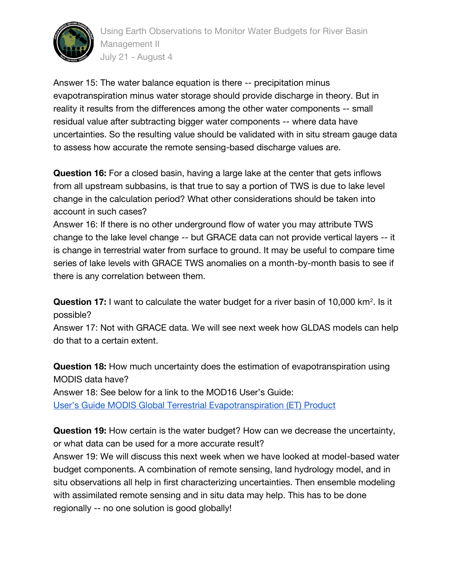

Using Earth Observations to Monitor Water Budgets for River Basin Management II July 21 - August 4

Answer 15: The water balance equation is there -- precipitation minus evapotranspiration minus water storage should provide discharge in theory. But in reality it results from the differences among the other water components -- small residual value after subtracting bigger water components -- where data have uncertainties. So the resulting value should be validated with in situ stream gauge data to assess how accurate the remote sensing-based discharge values are.

**Question 16:** For a closed basin, having a large lake at the center that gets inflows from all upstream subbasins, is that true to say a portion of TWS is due to lake level change in the calculation period? What other considerations should be taken into account in such cases?

Answer 16: If there is no other underground flow of water you may attribute TWS change to the lake level change -- but GRACE data can not provide vertical layers -- it is change in terrestrial water from surface to ground. It may be useful to compare time series of lake levels with GRACE TWS anomalies on a month-by-month basis to see if there is any correlation between them.

**Question 17:** I want to calculate the water budget for a river basin of 10,000 km<sup>2</sup>. Is it possible?

Answer 17: Not with GRACE data. We will see next week how GLDAS models can help do that to a certain extent.

**Question 18:** How much uncertainty does the estimation of evapotranspiration using MODIS data have? Answer 18: See below for a link to the MOD16 User's Guide: [User's Guide MODIS Global Terrestrial Evapotranspiration \(ET\) Product](https://ladsweb.modaps.eosdis.nasa.gov/missions-and-measurements/modis/MOD16_ET_User-Guide_2017.pdf)

**Question 19:** How certain is the water budget? How can we decrease the uncertainty, or what data can be used for a more accurate result?

Answer 19: We will discuss this next week when we have looked at model-based water budget components. A combination of remote sensing, land hydrology model, and in situ observations all help in first characterizing uncertainties. Then ensemble modeling with assimilated remote sensing and in situ data may help. This has to be done regionally -- no one solution is good globally!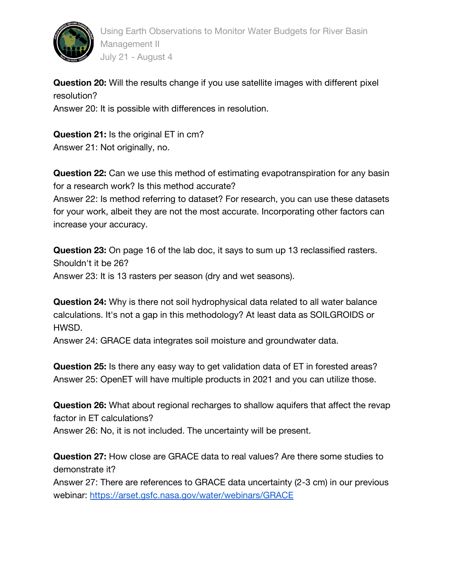

Using Earth Observations to Monitor Water Budgets for River Basin Management II July 21 - August 4

**Question 20:** Will the results change if you use satellite images with different pixel resolution? Answer 20: It is possible with differences in resolution.

**Question 21:** Is the original ET in cm? Answer 21: Not originally, no.

**Question 22:** Can we use this method of estimating evapotranspiration for any basin for a research work? Is this method accurate? Answer 22: Is method referring to dataset? For research, you can use these datasets for your work, albeit they are not the most accurate. Incorporating other factors can increase your accuracy.

**Question 23:** On page 16 of the lab doc, it says to sum up 13 reclassified rasters. Shouldn't it be 26? Answer 23: It is 13 rasters per season (dry and wet seasons).

**Question 24:** Why is there not soil hydrophysical data related to all water balance calculations. It's not a gap in this methodology? At least data as SOILGROIDS or HWSD.

Answer 24: GRACE data integrates soil moisture and groundwater data.

**Question 25:** Is there any easy way to get validation data of ET in forested areas? Answer 25: OpenET will have multiple products in 2021 and you can utilize those.

**Question 26:** What about regional recharges to shallow aquifers that affect the revap factor in ET calculations? Answer 26: No, it is not included. The uncertainty will be present.

**Question 27:** How close are GRACE data to real values? Are there some studies to demonstrate it?

Answer 27: There are references to GRACE data uncertainty (2-3 cm) in our previous webinar: <https://arset.gsfc.nasa.gov/water/webinars/GRACE>